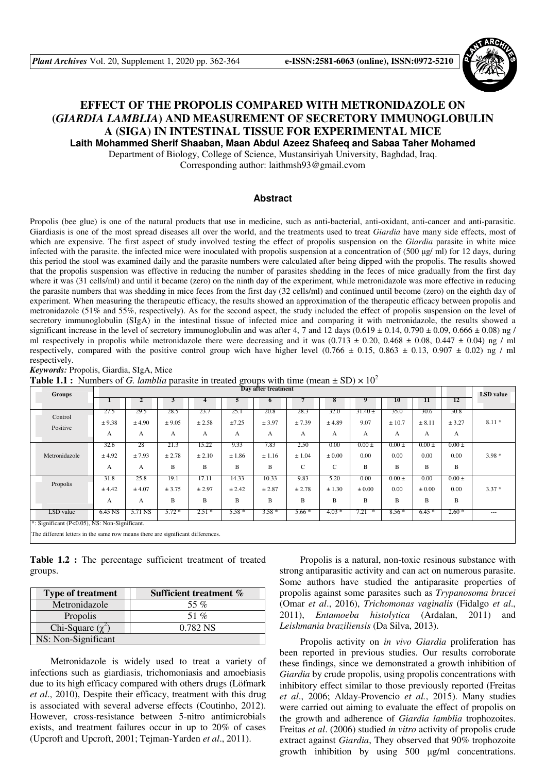

# **EFFECT OF THE PROPOLIS COMPARED WITH METRONIDAZOLE ON (***GIARDIA LAMBLIA***) AND MEASUREMENT OF SECRETORY IMMUNOGLOBULIN A (SIGA) IN INTESTINAL TISSUE FOR EXPERIMENTAL MICE Laith Mohammed Sherif Shaaban, Maan Abdul Azeez Shafeeq and Sabaa Taher Mohamed**

Department of Biology, College of Science, Mustansiriyah University, Baghdad, Iraq.

Corresponding author: laithmsh93@gmail.cvom

## **Abstract**

Propolis (bee glue) is one of the natural products that use in medicine, such as anti-bacterial, anti-oxidant, anti-cancer and anti-parasitic. Giardiasis is one of the most spread diseases all over the world, and the treatments used to treat *Giardia* have many side effects, most of which are expensive. The first aspect of study involved testing the effect of propolis suspension on the *Giardia* parasite in white mice infected with the parasite. the infected mice were inoculated with propolis suspension at a concentration of  $(500 \mu g/m)$  for 12 days, during this period the stool was examined daily and the parasite numbers were calculated after being dipped with the propolis. The results showed that the propolis suspension was effective in reducing the number of parasites shedding in the feces of mice gradually from the first day where it was (31 cells/ml) and until it became (zero) on the ninth day of the experiment, while metronidazole was more effective in reducing the parasite numbers that was shedding in mice feces from the first day (32 cells/ml) and continued until become (zero) on the eighth day of experiment. When measuring the therapeutic efficacy, the results showed an approximation of the therapeutic efficacy between propolis and metronidazole (51% and 55%, respectively). As for the second aspect, the study included the effect of propolis suspension on the level of secretory immunoglobulin (SIgA) in the intestinal tissue of infected mice and comparing it with metronidazole, the results showed a significant increase in the level of secretory immunoglobulin and was after 4, 7 and  $12$  days  $(0.619 \pm 0.14, 0.790 \pm 0.09, 0.666 \pm 0.08)$  ng / ml respectively in propolis while metronidazole there were decreasing and it was  $(0.713 \pm 0.20, 0.468 \pm 0.08, 0.447 \pm 0.04)$  ng / ml respectively, compared with the positive control group wich have higher level  $(0.766 \pm 0.15, 0.863 \pm 0.13, 0.907 \pm 0.02)$  ng / ml respectively.

*Keywords:* Propolis, Giardia, SIgA, Mice

**Table 1.1 :** Numbers of *G. lamblia* parasite in treated groups with time (mean  $\pm$  SD)  $\times$  10<sup>2</sup>

| Groups                                        | Day after treatment |                     |                     |                      |                      |                      |                     |                         |                          |                         |                         | LSD value               |         |
|-----------------------------------------------|---------------------|---------------------|---------------------|----------------------|----------------------|----------------------|---------------------|-------------------------|--------------------------|-------------------------|-------------------------|-------------------------|---------|
|                                               |                     |                     |                     |                      |                      | <sup>o</sup>         |                     |                         |                          | 10                      | 11                      | 12                      |         |
| Control<br>Positive                           | 27.5<br>± 9.38<br>A | 29.5<br>± 4.90<br>A | 28.5<br>± 9.05<br>А | 23.7<br>± 2.58<br>А  | 25.1<br>±7.25<br>А   | 20.8<br>± 3.97<br>A  | 28.3<br>± 7.39<br>А | 32.0<br>± 4.89<br>A     | $31.40 \pm$<br>9.07<br>A | 35.0<br>± 10.7<br>А     | 30.6<br>± 8.11<br>A     | 30.8<br>± 3.27<br>A     | $8.11*$ |
| Metronidazole                                 | 32.6<br>± 4.92<br>А | 28<br>± 7.93<br>A   | 21.3<br>± 2.78<br>B | 15.22<br>± 2.10<br>B | 9.33<br>±1.86<br>B   | 7.83<br>± 1.16<br>B  | 2.50<br>± 1.04<br>C | 0.00<br>$\pm 0.00$<br>C | $0.00 \pm$<br>0.00<br>B  | $0.00 \pm$<br>0.00<br>B | $0.00 \pm$<br>0.00<br>B | $0.00 \pm$<br>0.00<br>B | $3.98*$ |
| Propolis                                      | 31.8<br>± 4.42<br>A | 25.8<br>± 4.07<br>A | 19.1<br>± 3.75<br>B | 17.11<br>± 2.97<br>B | 14.33<br>± 2.42<br>B | 10.33<br>± 2.87<br>B | 9.83<br>± 2.78<br>B | 5.20<br>± 1.30<br>B     | 0.00<br>$\pm 0.00$<br>B  | $0.00 \pm$<br>0.00<br>B | 0.00<br>$\pm 0.00$<br>B | $0.00 \pm$<br>0.00<br>B | $3.37*$ |
| LSD value                                     | 6.45 NS             | 5.71 NS             | $5.72*$             | $2.51*$              | $5.58*$              | $3.58*$              | $5.66*$             | $4.03*$                 | 7.21<br>∗                | $8.56*$                 | $6.45*$                 | $2.60*$                 | $---$   |
| *: Significant (P<0.05), NS: Non-Significant. |                     |                     |                     |                      |                      |                      |                     |                         |                          |                         |                         |                         |         |

The different letters in the same row means there are significant differences.

**Table 1.2 :** The percentage sufficient treatment of treated groups.

| <b>Type of treatment</b> | Sufficient treatment % |
|--------------------------|------------------------|
| Metronidazole            | 55 %                   |
| Propolis                 | 51 %                   |
| Chi-Square $(\chi^2)$    | 0.782 NS               |
| NS: Non-Significant      |                        |

Metronidazole is widely used to treat a variety of infections such as giardiasis, trichomoniasis and amoebiasis due to its high efficacy compared with others drugs (Löfmark *et al*., 2010), Despite their efficacy, treatment with this drug is associated with several adverse effects (Coutinho, 2012). However, cross-resistance between 5-nitro antimicrobials exists, and treatment failures occur in up to 20% of cases (Upcroft and Upcroft, 2001; Tejman-Yarden *et al*., 2011).

Propolis is a natural, non-toxic resinous substance with strong antiparasitic activity and can act on numerous parasite. Some authors have studied the antiparasite properties of propolis against some parasites such as *Trypanosoma brucei* (Omar *et al*., 2016), *Trichomonas vaginalis* (Fidalgo *et al*., 2011), *Entamoeba histolytica* (Ardalan, 2011) and *Leishmania braziliensis* (Da Silva, 2013).

Propolis activity on *in vivo Giardia* proliferation has been reported in previous studies. Our results corroborate these findings, since we demonstrated a growth inhibition of *Giardia* by crude propolis, using propolis concentrations with inhibitory effect similar to those previously reported (Freitas *et al*., 2006; Alday-Provencio *et al.*, 2015). Many studies were carried out aiming to evaluate the effect of propolis on the growth and adherence of *Giardia lamblia* trophozoites. Freitas *et al*. (2006) studied *in vitro* activity of propolis crude extract against *Giardia*, They observed that 90% trophozoite growth inhibition by using 500 µg/ml concentrations.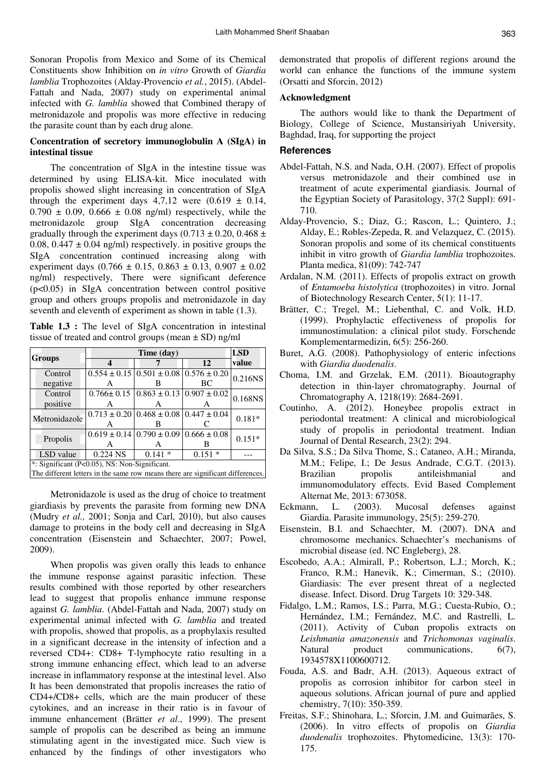Sonoran Propolis from Mexico and Some of its Chemical Constituents show Inhibition on *in vitro* Growth of *Giardia lamblia* Trophozoites (Alday-Provencio *et al.*, 2015). (Abdel-Fattah and Nada, 2007) study on experimental animal infected with *G. lamblia* showed that Combined therapy of metronidazole and propolis was more effective in reducing the parasite count than by each drug alone.

## **Concentration of secretory immunoglobulin A (SIgA) in intestinal tissue**

The concentration of SIgA in the intestine tissue was determined by using ELISA-kit. Mice inoculated with propolis showed slight increasing in concentration of SIgA through the experiment days  $4,7,12$  were  $(0.619 \pm 0.14,$  $0.790 \pm 0.09$ ,  $0.666 \pm 0.08$  ng/ml) respectively, while the metronidazole group SIgA concentration decreasing gradually through the experiment days  $(0.713 \pm 0.20, 0.468 \pm 0.00)$ 0.08, 0.447  $\pm$  0.04 ng/ml) respectively. in positive groups the SIgA concentration continued increasing along with experiment days  $(0.766 \pm 0.15, 0.863 \pm 0.13, 0.907 \pm 0.02)$ ng/ml) respectively, There were significant deference (p<0.05) in SIgA concentration between control positive group and others groups propolis and metronidazole in day seventh and eleventh of experiment as shown in table (1.3).

**Table 1.3 :** The level of SIgA concentration in intestinal tissue of treated and control groups (mean  $\pm$  SD) ng/ml

|                                                                                |            | <b>LSD</b>                                                 |          |          |  |  |  |
|--------------------------------------------------------------------------------|------------|------------------------------------------------------------|----------|----------|--|--|--|
| <b>Groups</b>                                                                  |            |                                                            | 12       | value    |  |  |  |
| Control                                                                        |            | $0.554 \pm 0.15 \mid 0.501 \pm 0.08 \mid 0.576 \pm 0.20$   |          | 0.216NS  |  |  |  |
| negative                                                                       |            |                                                            | BC       |          |  |  |  |
| Control                                                                        |            | $0.766 \pm 0.15$ $0.863 \pm 0.13$ $0.907 \pm 0.02$         |          | 0.168NS  |  |  |  |
| positive                                                                       |            |                                                            |          |          |  |  |  |
| Metronidazole                                                                  |            | $0.713 \pm 0.20$   $0.468 \pm 0.08$   $0.447 \pm 0.04$     |          | $0.181*$ |  |  |  |
|                                                                                |            |                                                            |          |          |  |  |  |
|                                                                                |            | $0.619 \pm 0.14 \cdot 0.790 \pm 0.09 \cdot 0.666 \pm 0.08$ |          | $0.151*$ |  |  |  |
| Propolis                                                                       | А          |                                                            |          |          |  |  |  |
| LSD value                                                                      | $0.224$ NS | $0.141*$                                                   | $0.151*$ |          |  |  |  |
| *: Significant (P<0.05), NS: Non-Significant.                                  |            |                                                            |          |          |  |  |  |
| The different letters in the same row means there are significant differences. |            |                                                            |          |          |  |  |  |

Metronidazole is used as the drug of choice to treatment giardiasis by prevents the parasite from forming new DNA (Mudry *et al.,* 2001; Sonja and Carl, 2010), but also causes damage to proteins in the body cell and decreasing in SIgA concentration (Eisenstein and Schaechter, 2007; Powel, 2009).

When propolis was given orally this leads to enhance the immune response against parasitic infection. These results combined with those reported by other researchers lead to suggest that propolis enhance immune response against *G. lamblia*. (Abdel-Fattah and Nada, 2007) study on experimental animal infected with *G. lamblia* and treated with propolis, showed that propolis, as a prophylaxis resulted in a significant decrease in the intensity of infection and a reversed CD4+: CD8+ T-lymphocyte ratio resulting in a strong immune enhancing effect, which lead to an adverse increase in inflammatory response at the intestinal level. Also It has been demonstrated that propolis increases the ratio of CD4+/CD8+ cells, which are the main producer of these cytokines, and an increase in their ratio is in favour of immune enhancement (Brätter *et al*., 1999). The present sample of propolis can be described as being an immune stimulating agent in the investigated mice. Such view is enhanced by the findings of other investigators who

demonstrated that propolis of different regions around the world can enhance the functions of the immune system (Orsatti and Sforcin, 2012)

#### **Acknowledgment**

The authors would like to thank the Department of Biology, College of Science, Mustansiriyah University, Baghdad, Iraq, for supporting the project

### **References**

- Abdel-Fattah, N.S. and Nada, O.H. (2007). Effect of propolis versus metronidazole and their combined use in treatment of acute experimental giardiasis. Journal of the Egyptian Society of Parasitology, 37(2 Suppl): 691- 710.
- Alday-Provencio, S.; Diaz, G.; Rascon, L.; Quintero, J.; Alday, E.; Robles-Zepeda, R. and Velazquez, C. (2015). Sonoran propolis and some of its chemical constituents inhibit in vitro growth of *Giardia lamblia* trophozoites. Planta medica, 81(09): 742-747
- Ardalan, N.M. (2011). Effects of propolis extract on growth of *Entamoeba histolytica* (trophozoites) in vitro. Jornal of Biotechnology Research Center, 5(1): 11-17.
- Brätter, C.; Tregel, M.; Liebenthal, C. and Volk, H.D. (1999). Prophylactic effectiveness of propolis for immunostimulation: a clinical pilot study. Forschende Komplementarmedizin, 6(5): 256-260.
- Buret, A.G. (2008). Pathophysiology of enteric infections with *Giardia duodenalis*.
- Choma, I.M. and Grzelak, E.M. (2011). Bioautography detection in thin-layer chromatography. Journal of Chromatography A, 1218(19): 2684-2691.
- Coutinho, A. (2012). Honeybee propolis extract in periodontal treatment: A clinical and microbiological study of propolis in periodontal treatment. Indian Journal of Dental Research, 23(2): 294.
- Da Silva, S.S.; Da Silva Thome, S.; Cataneo, A.H.; Miranda, M.M.; Felipe, I.; De Jesus Andrade, C.G.T. (2013). Brazilian propolis antileishmanial and immunomodulatory effects. Evid Based Complement Alternat Me, 2013: 673058.
- Eckmann, L. (2003). Mucosal defenses against Giardia. Parasite immunology, 25(5): 259-270.
- Eisenstein, B.I. and Schaechter, M. (2007). DNA and chromosome mechanics. Schaechter's mechanisms of microbial disease (ed. NC Engleberg), 28.
- Escobedo, A.A.; Almirall, P.; Robertson, L.J.; Morch, K.; Franco, R.M.; Hanevik, K.; Cimerman, S.; (2010). Giardiasis: The ever present threat of a neglected disease. Infect. Disord. Drug Targets 10: 329-348.
- Fidalgo, L.M.; Ramos, I.S.; Parra, M.G.; Cuesta-Rubio, O.; Hernández, I.M.; Fernández, M.C. and Rastrelli, L. (2011). Activity of Cuban propolis extracts on *Leishmania amazonensis* and *Trichomonas vaginalis*. Natural product communications,  $6(7)$ , 1934578X1100600712.
- Fouda, A.S. and Badr, A.H. (2013). Aqueous extract of propolis as corrosion inhibitor for carbon steel in aqueous solutions. African journal of pure and applied chemistry, 7(10): 350-359.
- Freitas, S.F.; Shinohara, L.; Sforcin, J.M. and Guimarães, S. (2006). In vitro effects of propolis on *Giardia duodenalis* trophozoites. Phytomedicine, 13(3): 170- 175.